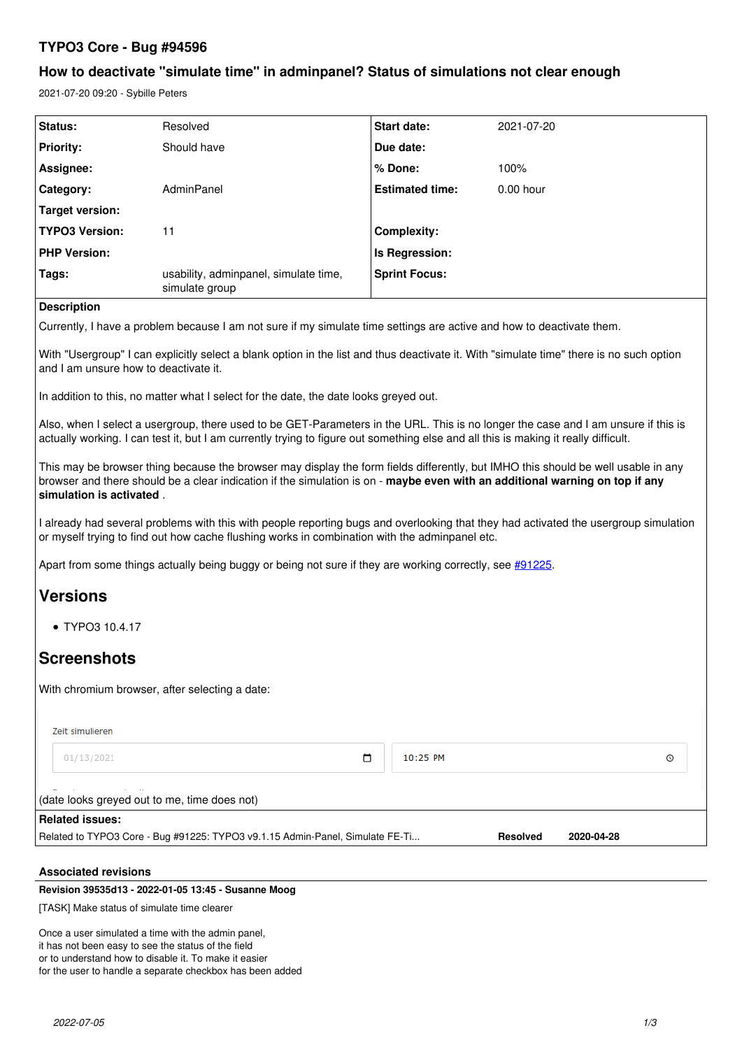# **TYPO3 Core - Bug #94596**

## **How to deactivate "simulate time" in adminpanel? Status of simulations not clear enough**

2021-07-20 09:20 - Sybille Peters

| Status:               | Resolved                                                | <b>Start date:</b>     | 2021-07-20  |
|-----------------------|---------------------------------------------------------|------------------------|-------------|
| <b>Priority:</b>      | Should have                                             | Due date:              |             |
| Assignee:             |                                                         | ∣% Done:               | 100%        |
| Category:             | AdminPanel                                              | <b>Estimated time:</b> | $0.00$ hour |
| Target version:       |                                                         |                        |             |
| <b>TYPO3 Version:</b> | 11                                                      | <b>Complexity:</b>     |             |
| <b>PHP Version:</b>   |                                                         | <b>Is Regression:</b>  |             |
| Tags:                 | usability, adminpanel, simulate time,<br>simulate group | <b>Sprint Focus:</b>   |             |

## **Description**

Currently, I have a problem because I am not sure if my simulate time settings are active and how to deactivate them.

With "Usergroup" I can explicitly select a blank option in the list and thus deactivate it. With "simulate time" there is no such option and I am unsure how to deactivate it.

In addition to this, no matter what I select for the date, the date looks greyed out.

Also, when I select a usergroup, there used to be GET-Parameters in the URL. This is no longer the case and I am unsure if this is actually working. I can test it, but I am currently trying to figure out something else and all this is making it really difficult.

This may be browser thing because the browser may display the form fields differently, but IMHO this should be well usable in any browser and there should be a clear indication if the simulation is on - **maybe even with an additional warning on top if any simulation is activated** .

I already had several problems with this with people reporting bugs and overlooking that they had activated the usergroup simulation or myself trying to find out how cache flushing works in combination with the adminpanel etc.

Apart from some things actually being buggy or being not sure if they are working correctly, see [#91225.](https://forge.typo3.org/issues/91225)

# **Versions**

TYPO3 10.4.17

# **Screenshots**

With chromium browser, after selecting a date:

Zeit simulieren

 $10:25$  PM 01/13/2021  $\Box$  $\circ$ (date looks greyed out to me, time does not) **Related issues:** Related to TYPO3 Core - Bug #91225: TYPO3 v9.1.15 Admin-Panel, Simulate FE-Ti... **Resolved 2020-04-28**

### **Associated revisions**

## **Revision 39535d13 - 2022-01-05 13:45 - Susanne Moog**

[TASK] Make status of simulate time clearer

Once a user simulated a time with the admin panel, it has not been easy to see the status of the field or to understand how to disable it. To make it easier for the user to handle a separate checkbox has been added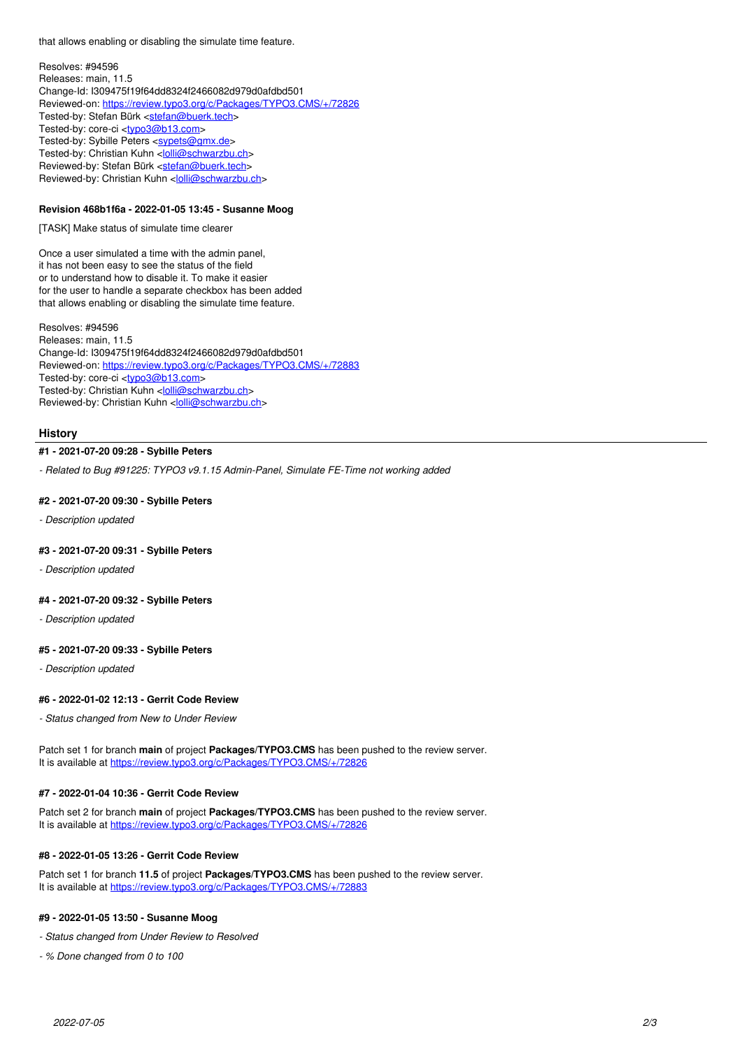that allows enabling or disabling the simulate time feature.

Resolves: #94596 Releases: main, 11.5 Change-Id: I309475f19f64dd8324f2466082d979d0afdbd501 Reviewed-on:<https://review.typo3.org/c/Packages/TYPO3.CMS/+/72826> Tested-by: Stefan Bürk <[stefan@buerk.tech](mailto:stefan@buerk.tech)> Tested-by: core-ci [<typo3@b13.com](mailto:typo3@b13.com)> Tested-by: Sybille Peters <<u>[sypets@gmx.de](mailto:sypets@gmx.de)</u>> Tested-by: Christian Kuhn <<u>[lolli@schwarzbu.ch](mailto:lolli@schwarzbu.ch)</u>> Reviewed-by: Stefan Bürk <[stefan@buerk.tech>](mailto:stefan@buerk.tech) Reviewed-by: Christian Kuhn [<lolli@schwarzbu.ch>](mailto:lolli@schwarzbu.ch)

## **Revision 468b1f6a - 2022-01-05 13:45 - Susanne Moog**

[TASK] Make status of simulate time clearer

Once a user simulated a time with the admin panel, it has not been easy to see the status of the field or to understand how to disable it. To make it easier for the user to handle a separate checkbox has been added that allows enabling or disabling the simulate time feature.

Resolves: #94596 Releases: main, 11.5 Change-Id: I309475f19f64dd8324f2466082d979d0afdbd501 Reviewed-on:<https://review.typo3.org/c/Packages/TYPO3.CMS/+/72883> Tested-by: core-ci [<typo3@b13.com](mailto:typo3@b13.com)> Tested-by: Christian Kuhn <[lolli@schwarzbu.ch](mailto:lolli@schwarzbu.ch)> Reviewed-by: Christian Kuhn [<lolli@schwarzbu.ch>](mailto:lolli@schwarzbu.ch)

#### **History**

## **#1 - 2021-07-20 09:28 - Sybille Peters**

*- Related to Bug #91225: TYPO3 v9.1.15 Admin-Panel, Simulate FE-Time not working added*

#### **#2 - 2021-07-20 09:30 - Sybille Peters**

*- Description updated*

#### **#3 - 2021-07-20 09:31 - Sybille Peters**

*- Description updated*

#### **#4 - 2021-07-20 09:32 - Sybille Peters**

*- Description updated*

#### **#5 - 2021-07-20 09:33 - Sybille Peters**

*- Description updated*

#### **#6 - 2022-01-02 12:13 - Gerrit Code Review**

*- Status changed from New to Under Review*

Patch set 1 for branch **main** of project **Packages/TYPO3.CMS** has been pushed to the review server. It is available at <https://review.typo3.org/c/Packages/TYPO3.CMS/+/72826>

#### **#7 - 2022-01-04 10:36 - Gerrit Code Review**

Patch set 2 for branch **main** of project **Packages/TYPO3.CMS** has been pushed to the review server. It is available at <https://review.typo3.org/c/Packages/TYPO3.CMS/+/72826>

#### **#8 - 2022-01-05 13:26 - Gerrit Code Review**

Patch set 1 for branch **11.5** of project **Packages/TYPO3.CMS** has been pushed to the review server. It is available at <https://review.typo3.org/c/Packages/TYPO3.CMS/+/72883>

#### **#9 - 2022-01-05 13:50 - Susanne Moog**

- *Status changed from Under Review to Resolved*
- *% Done changed from 0 to 100*